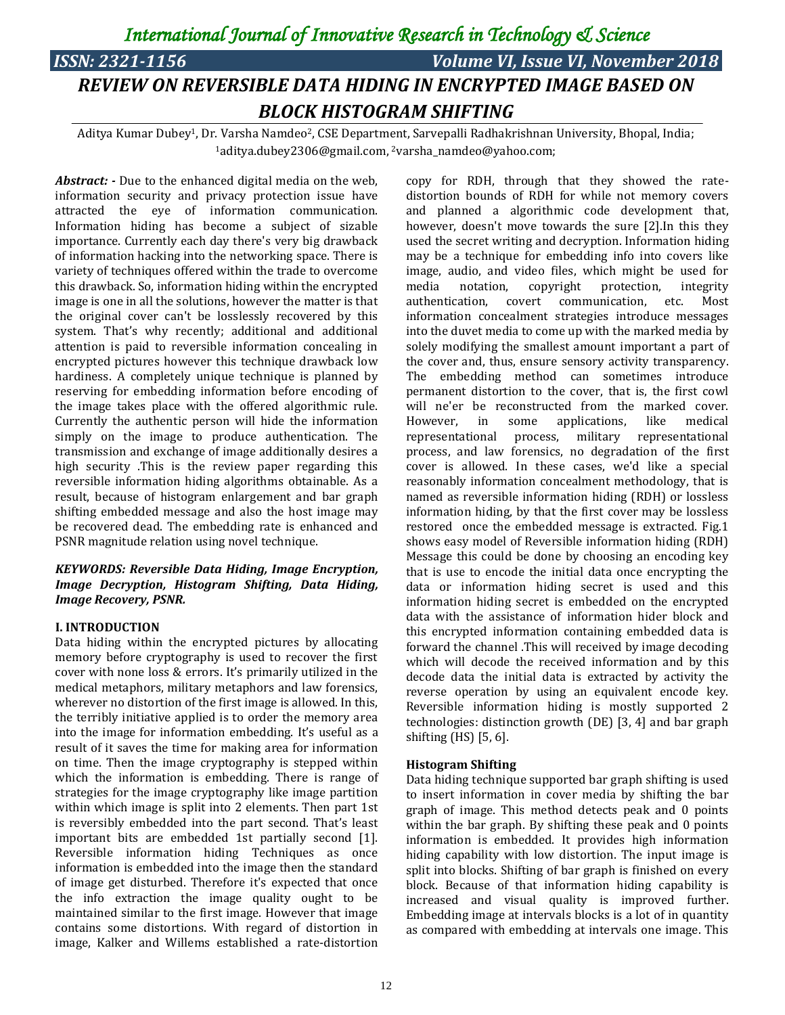*International Journal of Innovative Research in Technology & Science* 

*ISSN: 2321-1156 Volume VI, Issue VI, November 2018*

# *REVIEW ON REVERSIBLE DATA HIDING IN ENCRYPTED IMAGE BASED ON BLOCK HISTOGRAM SHIFTING*

Aditya Kumar Dubey<sup>1</sup>, Dr. Varsha Namdeo<sup>2</sup>, CSE Department, Sarvepalli Radhakrishnan University, Bhopal, India; <sup>1</sup>aditya.dubey2306@gmail.com, <sup>2</sup>varsha\_namdeo@yahoo.com;

*Abstract: -* Due to the enhanced digital media on the web, information security and privacy protection issue have attracted the eye of information communication. Information hiding has become a subject of sizable importance. Currently each day there's very big drawback of information hacking into the networking space. There is variety of techniques offered within the trade to overcome this drawback. So, information hiding within the encrypted image is one in all the solutions, however the matter is that the original cover can't be losslessly recovered by this system. That's why recently; additional and additional attention is paid to reversible information concealing in encrypted pictures however this technique drawback low hardiness. A completely unique technique is planned by reserving for embedding information before encoding of the image takes place with the offered algorithmic rule. Currently the authentic person will hide the information simply on the image to produce authentication. The transmission and exchange of image additionally desires a high security .This is the review paper regarding this reversible information hiding algorithms obtainable. As a result, because of histogram enlargement and bar graph shifting embedded message and also the host image may be recovered dead. The embedding rate is enhanced and PSNR magnitude relation using novel technique.

#### *KEYWORDS: Reversible Data Hiding, Image Encryption, Image Decryption, Histogram Shifting, Data Hiding, Image Recovery, PSNR.*

### **I. INTRODUCTION**

Data hiding within the encrypted pictures by allocating memory before cryptography is used to recover the first cover with none loss & errors. It's primarily utilized in the medical metaphors, military metaphors and law forensics, wherever no distortion of the first image is allowed. In this, the terribly initiative applied is to order the memory area into the image for information embedding. It's useful as a result of it saves the time for making area for information on time. Then the image cryptography is stepped within which the information is embedding. There is range of strategies for the image cryptography like image partition within which image is split into 2 elements. Then part 1st is reversibly embedded into the part second. That's least important bits are embedded 1st partially second [1]. Reversible information hiding Techniques as once information is embedded into the image then the standard of image get disturbed. Therefore it's expected that once the info extraction the image quality ought to be maintained similar to the first image. However that image contains some distortions. With regard of distortion in image, Kalker and Willems established a rate-distortion

copy for RDH, through that they showed the ratedistortion bounds of RDH for while not memory covers and planned a algorithmic code development that, however, doesn't move towards the sure [2].In this they used the secret writing and decryption. Information hiding may be a technique for embedding info into covers like image, audio, and video files, which might be used for media notation, copyright protection, integrity authentication, covert communication, etc. Most information concealment strategies introduce messages into the duvet media to come up with the marked media by solely modifying the smallest amount important a part of the cover and, thus, ensure sensory activity transparency. The embedding method can sometimes introduce permanent distortion to the cover, that is, the first cowl will ne'er be reconstructed from the marked cover. However, in some applications, like medical representational process, military representational process, and law forensics, no degradation of the first cover is allowed. In these cases, we'd like a special reasonably information concealment methodology, that is named as reversible information hiding (RDH) or lossless information hiding, by that the first cover may be lossless restored once the embedded message is extracted. Fig.1 shows easy model of Reversible information hiding (RDH) Message this could be done by choosing an encoding key that is use to encode the initial data once encrypting the data or information hiding secret is used and this information hiding secret is embedded on the encrypted data with the assistance of information hider block and this encrypted information containing embedded data is forward the channel .This will received by image decoding which will decode the received information and by this decode data the initial data is extracted by activity the reverse operation by using an equivalent encode key. Reversible information hiding is mostly supported 2 technologies: distinction growth (DE) [3, 4] and bar graph shifting (HS) [5, 6].

### **Histogram Shifting**

Data hiding technique supported bar graph shifting is used to insert information in cover media by shifting the bar graph of image. This method detects peak and 0 points within the bar graph. By shifting these peak and 0 points information is embedded. It provides high information hiding capability with low distortion. The input image is split into blocks. Shifting of bar graph is finished on every block. Because of that information hiding capability is increased and visual quality is improved further. Embedding image at intervals blocks is a lot of in quantity as compared with embedding at intervals one image. This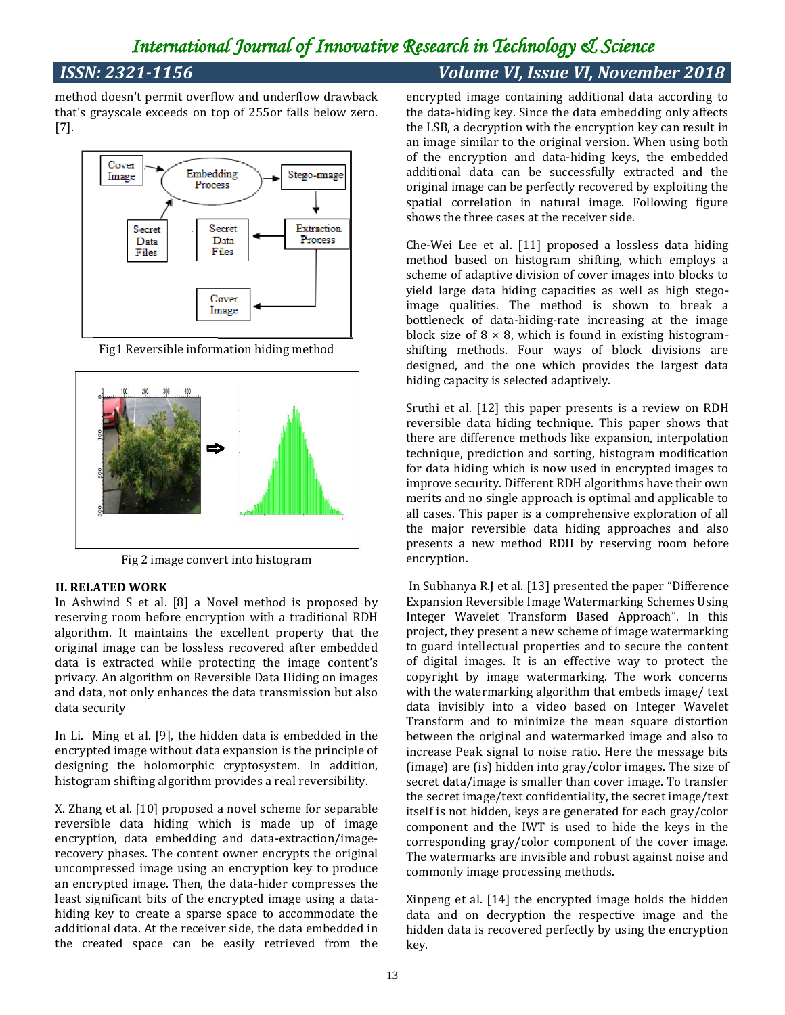# *International Journal of Innovative Research in Technology & Science*

## *ISSN: 2321-1156 Volume VI, Issue VI, November 2018*

method doesn't permit overflow and underflow drawback that's grayscale exceeds on top of 255or falls below zero. [7].



Fig1 Reversible information hiding method



Fig 2 image convert into histogram

#### **II. RELATED WORK**

In Ashwind S et al. [8] a Novel method is proposed by reserving room before encryption with a traditional RDH algorithm. It maintains the excellent property that the original image can be lossless recovered after embedded data is extracted while protecting the image content's privacy. An algorithm on Reversible Data Hiding on images and data, not only enhances the data transmission but also data security

In Li. Ming et al. [9], the hidden data is embedded in the encrypted image without data expansion is the principle of designing the holomorphic cryptosystem. In addition, histogram shifting algorithm provides a real reversibility.

X. Zhang et al. [10] proposed a novel scheme for separable reversible data hiding which is made up of image encryption, data embedding and data-extraction/imagerecovery phases. The content owner encrypts the original uncompressed image using an encryption key to produce an encrypted image. Then, the data-hider compresses the least significant bits of the encrypted image using a datahiding key to create a sparse space to accommodate the additional data. At the receiver side, the data embedded in the created space can be easily retrieved from the encrypted image containing additional data according to the data-hiding key. Since the data embedding only affects the LSB, a decryption with the encryption key can result in an image similar to the original version. When using both of the encryption and data-hiding keys, the embedded additional data can be successfully extracted and the original image can be perfectly recovered by exploiting the spatial correlation in natural image. Following figure shows the three cases at the receiver side.

Che-Wei Lee et al. [11] proposed a lossless data hiding method based on histogram shifting, which employs a scheme of adaptive division of cover images into blocks to yield large data hiding capacities as well as high stegoimage qualities. The method is shown to break a bottleneck of data-hiding-rate increasing at the image block size of  $8 \times 8$ , which is found in existing histogramshifting methods. Four ways of block divisions are designed, and the one which provides the largest data hiding capacity is selected adaptively.

Sruthi et al. [12] this paper presents is a review on RDH reversible data hiding technique. This paper shows that there are difference methods like expansion, interpolation technique, prediction and sorting, histogram modification for data hiding which is now used in encrypted images to improve security. Different RDH algorithms have their own merits and no single approach is optimal and applicable to all cases. This paper is a comprehensive exploration of all the major reversible data hiding approaches and also presents a new method RDH by reserving room before encryption.

In Subhanya R.J et al. [13] presented the paper "Difference Expansion Reversible Image Watermarking Schemes Using Integer Wavelet Transform Based Approach". In this project, they present a new scheme of image watermarking to guard intellectual properties and to secure the content of digital images. It is an effective way to protect the copyright by image watermarking. The work concerns with the watermarking algorithm that embeds image/ text data invisibly into a video based on Integer Wavelet Transform and to minimize the mean square distortion between the original and watermarked image and also to increase Peak signal to noise ratio. Here the message bits (image) are (is) hidden into gray/color images. The size of secret data/image is smaller than cover image. To transfer the secret image/text confidentiality, the secret image/text itself is not hidden, keys are generated for each gray/color component and the IWT is used to hide the keys in the corresponding gray/color component of the cover image. The watermarks are invisible and robust against noise and commonly image processing methods.

Xinpeng et al. [14] the encrypted image holds the hidden data and on decryption the respective image and the hidden data is recovered perfectly by using the encryption key.